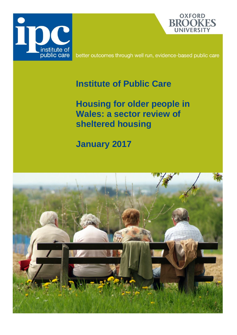



better outcomes through well run, evidence-based public care

## **Institute of Public Care**

<span id="page-0-0"></span>**Housing for older people in Wales: a sector review of sheltered housing**

# **January 2017**

<span id="page-0-1"></span>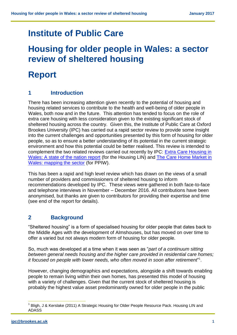## **Institute of Public Care**

## **Housing for older people in Wales: a sector review of sheltered housing**

## **Report**

## **1 Introduction**

There has been increasing attention given recently to the potential of housing and housing related services to contribute to the health and well-being of older people in Wales, both now and in the future. This attention has tended to focus on the role of extra care housing with less consideration given to the existing significant stock of sheltered housing across the country. Given this, the Institute of Public Care at Oxford Brookes University (IPC) has carried out a rapid sector review to provide some insight into the current challenges and opportunities presented by this form of housing for older people, so as to ensure a better understanding of its potential in the current strategic environment and how this potential could be better realised. This review is intended to complement the two related reviews carried out recently by IPC: [Extra Care Housing](https://ipc.brookes.ac.uk/publications/publication_826.html) in [Wales: A state of the nation report](https://ipc.brookes.ac.uk/publications/publication_826.html) (for the Housing LIN) and [The Care Home Market in](https://ipc.brookes.ac.uk/publications/publication_840.html)  [Wales: mapping the sector](https://ipc.brookes.ac.uk/publications/publication_840.html) (for PPIW).

This has been a rapid and high level review which has drawn on the views of a small number of providers and commissioners of sheltered housing to inform recommendations developed by IPC. These views were gathered in both face-to-face and telephone interviews in November – December 2016. All contributions have been anonymised, but thanks are given to contributors for providing their expertise and time (see end of the report for details).

## **2 Background**

"Sheltered housing" is a form of specialised housing for older people that dates back to the Middle Ages with the development of Almshouses, but has moved on over time to offer a varied but not always modern form of housing for older people.

So, much was developed at a time when it was seen as "*part of a continuum sitting between general needs housing and the higher care provided in residential care homes; it focused on people with lower needs, who often moved in soon after retirement*" 1 .

However, changing demographics and expectations, alongside a shift towards enabling people to remain living within their own homes, has presented this model of housing with a variety of challenges. Given that the current stock of sheltered housing is probably the highest value asset predominantly owned for older people in the public

<sup>&</sup>lt;sup>1</sup> Bligh, J & Kerslake (2011) A Strategic Housing for Older People Resource Pack. Housing LIN and ADASS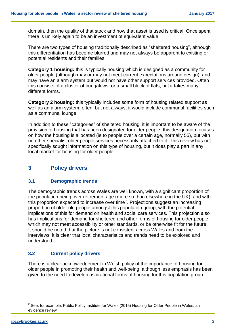domain, then the quality of that stock and how that asset is used is critical. Once spent there is unlikely again to be an investment of equivalent value.

There are two types of housing traditionally described as "sheltered housing", although this differentiation has become blurred and may not always be apparent to existing or potential residents and their families.

**Category 1 housing:** this is typically housing which is designed as a community for older people (although may or may not meet current expectations around design), and may have an alarm system but would not have other support services provided. Often this consists of a cluster of bungalows, or a small block of flats, but it takes many different forms.

**Category 2 housing:** this typically includes some form of housing related support as well as an alarm system; often, but not always, it would include communal facilities such as a communal lounge.

In addition to these "categories" of sheltered housing, it is important to be aware of the provision of housing that has been designated for older people: this designation focuses on how the housing is allocated (ie to people over a certain age, normally 55), but with no other specialist older people services necessarily attached to it. This review has not specifically sought information on this type of housing, but it does play a part in any local market for housing for older people.

## **3 Policy drivers**

#### **3.1 Demographic trends**

The demographic trends across Wales are well known, with a significant proportion of the population being over retirement age (more so than elsewhere in the UK), and with this proportion expected to increase over time<sup>2</sup>. Projections suggest an increasing proportion of older old people amongst this population group, with the potential implications of this for demand on health and social care services. This projection also has implications for demand for sheltered and other forms of housing for older people which may not meet accessibility or other standards, or be otherwise fit for the future. It should be noted that the picture is not consistent across Wales and from the interviews, it is clear that local characteristics and trends need to be explored and understood.

### **3.2 Current policy drivers**

There is a clear acknowledgement in Welsh policy of the importance of housing for older people in promoting their health and well-being, although less emphasis has been given to the need to develop aspirational forms of housing for this population group.

 $\overline{a}$  $^{2}$  See, for example, Public Policy Institute for Wales (2015) Housing for Older People in Wales: an evidence review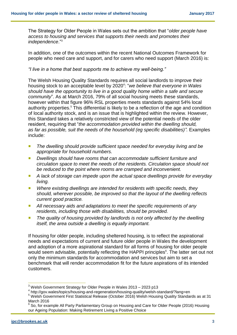The Strategy for Older People in Wales sets out the ambition that "*older people have access to housing and services that supports their needs and promotes their independence*."<sup>3</sup>

In addition, one of the outcomes within the recent National Outcomes Framework for people who need care and support, and for carers who need support (March 2016) is:

*"I live in a home that best supports me to achieve my well-being."*

The Welsh Housing Quality Standards requires all social landlords to improve their housing stock to an acceptable level by 2020<sup>4</sup> : "*we believe that everyone in Wales should have the opportunity to live in a good quality home within a safe and secure community*". As at March 2016, 79% of all social housing meets these standards, however within that figure 96% RSL properties meets standards against 54% local authority properties. <sup>5</sup> This differential is likely to be a reflection of the age and condition of local authority stock, and is an issue that is highlighted within the review. However, this Standard takes a relatively constricted view of the potential needs of the older resident, requiring that "*the accommodation provided within the dwelling should, as far as possible, suit the needs of the household (eg specific disabilities)".* Examples include:

- The dwelling should provide sufficient space needed for everyday living and be *appropriate for household numbers.*
- *Dwellings should have rooms that can accommodate sufficient furniture and circulation space to meet the needs of the residents. Circulation space should not be reduced to the point where rooms are cramped and inconvenient.*
- *A lack of storage can impede upon the actual space dwellings provide for everyday living.*
- *Where existing dwellings are intended for residents with specific needs, they should, wherever possible, be improved so that the layout of the dwelling reflects current good practice.*
- *All necessary aids and adaptations to meet the specific requirements of any residents, including those with disabilities, should be provided.*
- The quality of housing provided by landlords is not only affected by the dwelling *itself, the area outside a dwelling is equally important.*

If housing for older people, including sheltered housing, is to reflect the aspirational needs and expectations of current and future older people in Wales the development and adoption of a more aspirational standard for all forms of housing for older people would seem advisable, potentially reflecting the HAPPI principles<sup>6</sup>. The latter set out not only the minimum standards for accommodation and services but aim to set a benchmark that will render accommodation fit for the future aspirations of its intended customers.

 $\overline{a}$  $3$  Welsh Government Strategy for Older People in Wales 2013 – 2023 p13

<sup>4</sup> http://gov.wales/topics/housing-and-regeneration/housing-quality/welsh-standard/?lang=en

<sup>5</sup> Welsh Government First Statistical Release (October 2016) Welsh Housing Quality Standards as at 31 March 2016

 $^6$  So, for example All Party Parliamentary Group on Housing and Care for Older People (2016) Housing our Ageing Population: Making Retirement Living a Positive Choice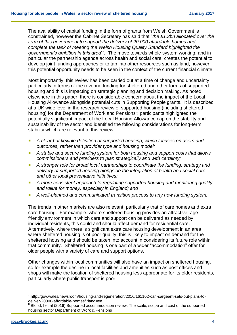The availability of capital funding in the form of grants from Welsh Government is constrained, however the Cabinet Secretary has said that "*the £1.3bn allocated over the term of this government to support the delivery of 20,000 affordable homes and complete the task of meeting the Welsh Housing Quality Standard highlighted the government's ambition in this area*" 7 . The move towards whole system working, and in particular the partnership agenda across health and social care, creates the potential to develop joint funding approaches or to tap into other resources such as land, however this potential opportunity needs to be seen in the context of the current financial climate.

Most importantly, this review has been carried out at a time of change and uncertainty particularly in terms of the revenue funding for sheltered and other forms of supported housing and this is impacting on strategic planning and decision making. As noted elsewhere in this paper, there is considerable concern about the impact of the Local Housing Allowance alongside potential cuts in Supporting People grants. It is described at a UK wide level in the research review of supported housing (including sheltered housing) for the Department of Work and Pensions<sup>8</sup>: participants highlighted the potentially significant impact of the Local Housing Allowance cap on the stability and sustainability of the sector and identified the following considerations for long-term stability which are relevant to this review:

- *A clear but flexible definition of supported housing, which focuses on users and outcomes, rather than provider type and housing model;*
- *A stable and secure funding system for both housing and support costs that allows commissioners and providers to plan strategically and with certainty;*
- *A stronger role for broad local partnerships to coordinate the funding, strategy and delivery of supported housing alongside the integration of health and social care and other local preventative initiatives;*
- *A more consistent approach to regulating supported housing and monitoring quality and value for money, especially in England; and*
- *A well-planned and communicated transition process to any new funding system.*

The trends in other markets are also relevant, particularly that of care homes and extra care housing. For example, where sheltered housing provides an attractive, age friendly environment in which care and support can be delivered as needed by individual residents, this could and should affect demand for residential care. Alternatively, where there is significant extra care housing development in an area where sheltered housing is of poor quality, this is likely to impact on demand for the sheltered housing and should be taken into account in considering its future role within that community. Sheltered housing is one part of a wider "accommodation" offer for older people with a variety of care and support options.

Other changes within local communities will also have an impact on sheltered housing, so for example the decline in local facilities and amenities such as post offices and shops will make the location of sheltered housing less appropriate for its older residents, particularly where public transport is poor.

<sup>&</sup>lt;sup>7</sup> http://gov.wales/newsroom/housing-and-regeneration/2016/161102-carl-sargeant-sets-out-plans-todeliver-20000-affordable-homes/?lang=en 8

Blood, I et al (2016) Supported accommodation review: The scale, scope and cost of the supported housing sector Department of Work & Pensions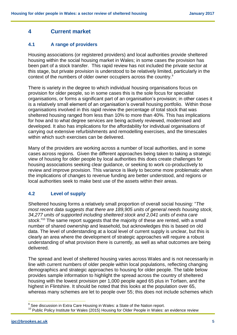## **4 Current market**

## **4.1 A range of providers**

Housing associations (or registered providers) and local authorities provide sheltered housing within the social housing market in Wales; in some cases the provision has been part of a stock transfer. This rapid review has not included the private sector at this stage, but private provision is understood to be relatively limited, particularly in the context of the numbers of older owner occupiers across the country.<sup>9</sup>

There is variety in the degree to which individual housing organisations focus on provision for older people, so in some cases this is the sole focus for specialist organisations, or forms a significant part of an organisation's provision; in other cases it is a relatively small element of an organisation's overall housing portfolio. Within those organisations involved in this rapid review the percentage of total stock that was sheltered housing ranged from less than 10% to more than 40%. This has implications for how and to what degree services are being actively reviewed, modernised and developed. It also has implications for the affordability for individual organisations of carrying out extensive refurbishments and remodelling exercises, and the timescales within which such exercises can be delivered.

Many of the providers are working across a number of local authorities, and in some cases across regions. Given the different approaches being taken to taking a strategic view of housing for older people by local authorities this does create challenges for housing associations seeking clear guidance, or seeking to work co-productively to review and improve provision. This variance is likely to become more problematic when the implications of changes to revenue funding are better understood, and regions or local authorities seek to make best use of the assets within their areas.

### **4.2 Level of supply**

Sheltered housing forms a relatively small proportion of overall social housing: "*The most recent data suggests that there are 189,905 units of general needs housing stock, 34,277 units of supported including sheltered stock and 2,041 units of extra care stock*."<sup>10</sup> The same report suggests that the majority of these are rented, with a small number of shared ownership and leasehold, but acknowledges this is based on old data. The level of understanding at a local level of current supply is unclear, but this is clearly an area where the development of strategic approaches will require a robust understanding of what provision there is currently, as well as what outcomes are being delivered.

The spread and level of sheltered housing varies across Wales and is not necessarily in line with current numbers of older people within local populations, reflecting changing demographics and strategic approaches to housing for older people. The table below provides sample information to highlight the spread across the country of sheltered housing with the lowest provision per 1,000 people aged 65 plus in Torfaen, and the highest in Flintshire. It should be noted that this looks at the population over 65, whereas many schemes are let to people over 55; this does not include schemes which

 $9$  See discussion in Extra Care Housing in Wales: a State of the Nation report.

 $10$  Public Policy Institute for Wales (2015) Housing for Older People in Wales: an evidence review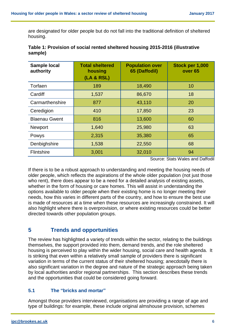are designated for older people but do not fall into the traditional definition of sheltered housing.

| <b>Sample local</b><br>authority | <b>Total sheltered</b><br>housing<br>(LA & RSL) | <b>Population over</b><br>65 (Daffodil) | Stock per 1,000<br>over <sub>65</sub> |
|----------------------------------|-------------------------------------------------|-----------------------------------------|---------------------------------------|
| Torfaen                          | 189                                             | 18,490                                  | 10                                    |
| Cardiff                          | 1,537                                           | 86,670                                  | 18                                    |
| Carmarthenshire                  | 877                                             | 43,110                                  | 20                                    |
| Ceredigion                       | 410                                             | 17,850                                  | 23                                    |
| <b>Blaenau Gwent</b>             | 816                                             | 13,600                                  | 60                                    |
| Newport                          | 1,640                                           | 25,980                                  | 63                                    |
| Powys                            | 2,315                                           | 35,380                                  | 65                                    |
| Denbighshire                     | 1,538                                           | 22,550                                  | 68                                    |
| Flintshire                       | 3,001                                           | 32,010                                  | 94                                    |

| Table 1: Provision of social rented sheltered housing 2015-2016 (illustrative |  |
|-------------------------------------------------------------------------------|--|
| sample)                                                                       |  |

Source: Stats Wales and Daffodil

If there is to be a robust approach to understanding and meeting the housing needs of older people, which reflects the aspirations of the whole older population (not just those who rent), there does appear to be a need for a detailed analysis of existing assets, whether in the form of housing or care homes. This will assist in understanding the options available to older people when their existing home is no longer meeting their needs, how this varies in different parts of the country, and how to ensure the best use is made of resources at a time when these resources are increasingly constrained. It will also highlight where there is overprovision, or where existing resources could be better directed towards other population groups.

## **5 Trends and opportunities**

The review has highlighted a variety of trends within the sector, relating to the buildings themselves, the support provided into them, demand trends, and the role sheltered housing is perceived to play within the wider housing, social care and health agenda. It is striking that even within a relatively small sample of providers there is significant variation in terms of the current status of their sheltered housing; anecdotally there is also significant variation in the degree and nature of the strategic approach being taken by local authorities and/or regional partnerships. This section describes these trends and the opportunities that could be considered going forward.

### **5.1 The "bricks and mortar"**

Amongst those providers interviewed, organisations are providing a range of age and type of buildings: for example, these include original almshouse provision, schemes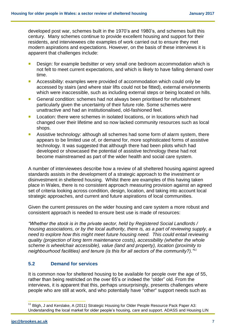developed post war, schemes built in the 1970's and 1980's, and schemes built this century. Many schemes continue to provide excellent housing and support for their residents, and interviewees cite examples of work carried out to ensure they met modern aspirations and expectations. However, on the basis of these interviews it is apparent that challenges include:

- Design: for example bedsitter or very small one bedroom accommodation which is not felt to meet current expectations, and which is likely to have falling demand over time.
- Accessibility: examples were provided of accommodation which could only be accessed by stairs (and where stair lifts could not be fitted), external environments which were inaccessible, such as including external steps or being located on hills.
- General condition: schemes had not always been prioritised for refurbishment particularly given the uncertainty of their future role. Some schemes were unattractive and had an institutionalised, old-fashioned feel.
- **Location: there were schemes in isolated locations, or in locations which had** changed over their lifetime and so now lacked community resources such as local shops.
- **Assistive technology: although all schemes had some form of alarm system, there** appears to be limited use of, or demand for, more sophisticated forms of assistive technology. It was suggested that although there had been pilots which had developed or showcased the potential of assistive technology these had not become mainstreamed as part of the wider health and social care system.

A number of interviewees describe how a review of all sheltered housing against agreed standards assists in the development of a strategic approach to the investment or disinvestment in sheltered housing. Whilst there are examples of this having taken place in Wales, there is no consistent approach measuring provision against an agreed set of criteria looking across condition, design, location, and taking into account local strategic approaches, and current and future aspirations of local communities.

Given the current pressures on the wider housing and care system a more robust and consistent approach is needed to ensure best use is made of resources:

*"Whether the stock is in the private sector, held by Registered Social Landlords / housing associations, or by the local authority, there is, as a part of reviewing supply, a need to explore how this might meet future housing need. This could entail reviewing quality (projection of long term maintenance costs), accessibility (whether the whole scheme is wheelchair accessible), value (land and property), location (proximity to neighbourhood facilities) and tenure (is this for all sectors of the community?)."<sup>11</sup>*

### **5.2 Demand for services**

It is common now for sheltered housing to be available for people over the age of 55, rather than being restricted on the over 65's or indeed the "older" old. From the interviews, it is apparent that this, perhaps unsurprisingly, presents challenges where people who are still at work, and who potentially have "other" support needs such as

<sup>&</sup>lt;sup>11</sup> Bligh, J and Kerslake, A (2011) Strategic Housing for Older People Resource Pack Paper A3: Understanding the local market for older people's housing, care and support. ADASS and Housing LIN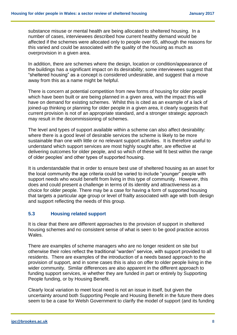substance misuse or mental health are being allocated to sheltered housing. In a number of cases, interviewees described how current healthy demand would be affected if the schemes were allocated only to people over 65, although the reasons for this varied and could be associated with the quality of the housing as much as overprovision in a given area.

In addition, there are schemes where the design, location or condition/appearance of the buildings has a significant impact on its desirability; some interviewees suggest that "sheltered housing" as a concept is considered undesirable, and suggest that a move away from this as a name might be helpful.

There is concern at potential competition from new forms of housing for older people which have been built or are being planned in a given area, with the impact this will have on demand for existing schemes. Whilst this is cited as an example of a lack of joined-up thinking or planning for older people in a given area, it clearly suggests that current provision is not of an appropriate standard, and a stronger strategic approach may result in the decommissioning of schemes.

The level and types of support available within a scheme can also affect desirability: where there is a good level of desirable services the scheme is likely to be more sustainable than one with little or no relevant support activities. It is therefore useful to understand which support services are most highly sought after, are effective at delivering outcomes for older people, and so which of these will fit best within the range of older peoples' and other types of supported housing.

It is understandable that in order to ensure best use of sheltered housing as an asset for the local community the age criteria could be varied to include "younger" people with support needs who would benefit from living in this type of community. However, this does and could present a challenge in terms of its identity and attractiveness as a choice for older people. There may be a case for having a form of supported housing that targets a particular age group or level of frailty associated with age with both design and support reflecting the needs of this group.

### **5.3 Housing related support**

It is clear that there are different approaches to the provision of support in sheltered housing schemes and no consistent sense of what is seen to be good practice across Wales.

There are examples of scheme managers who are no longer resident on site but otherwise their roles reflect the traditional "warden" service, with support provided to all residents. There are examples of the introduction of a needs based approach to the provision of support, and in some cases this is also on offer to older people living in the wider community. Similar differences are also apparent in the different approach to funding support services, ie whether they are funded in part or entirely by Supporting People funding, or by Housing Benefit.

Clearly local variation to meet local need is not an issue in itself, but given the uncertainty around both Supporting People and Housing Benefit in the future there does seem to be a case for Welsh Government to clarify the model of support (and its funding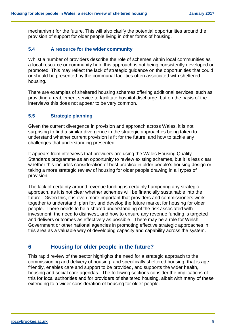mechanism) for the future. This will also clarify the potential opportunities around the provision of support for older people living in other forms of housing.

#### **5.4 A resource for the wider community**

Whilst a number of providers describe the role of schemes within local communities as a local resource or community hub, this approach is not being consistently developed or promoted. This may reflect the lack of strategic guidance on the opportunities that could or should be presented by the communal facilities often associated with sheltered housing.

There are examples of sheltered housing schemes offering additional services, such as providing a reablement service to facilitate hospital discharge, but on the basis of the interviews this does not appear to be very common.

#### **5.5 Strategic planning**

Given the current divergence in provision and approach across Wales, it is not surprising to find a similar divergence in the strategic approaches being taken to understand whether current provision is fit for the future, and how to tackle any challenges that understanding presented.

It appears from interviews that providers are using the Wales Housing Quality Standards programme as an opportunity to review existing schemes, but it is less clear whether this includes consideration of best practice in older people's housing design or taking a more strategic review of housing for older people drawing in all types of provision.

The lack of certainty around revenue funding is certainly hampering any strategic approach, as it is not clear whether schemes will be financially sustainable into the future. Given this, it is even more important that providers and commissioners work together to understand, plan for, and develop the future market for housing for older people. There needs to be a shared understanding of the risk associated with investment, the need to disinvest, and how to ensure any revenue funding is targeted and delivers outcomes as effectively as possible. There may be a role for Welsh Government or other national agencies in promoting effective strategic approaches in this area as a valuable way of developing capacity and capability across the system.

## **6 Housing for older people in the future?**

This rapid review of the sector highlights the need for a strategic approach to the commissioning and delivery of housing, and specifically sheltered housing, that is age friendly, enables care and support to be provided, and supports the wider health, housing and social care agendas. The following sections consider the implications of this for local authorities and for providers of sheltered housing, albeit with many of these extending to a wider consideration of housing for older people.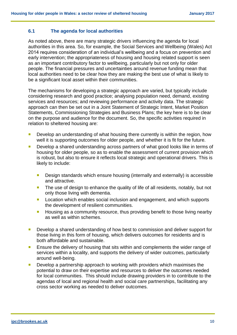#### **6.1 The agenda for local authorities**

As noted above, there are many strategic drivers influencing the agenda for local authorities in this area. So, for example, the Social Services and Wellbeing (Wales) Act 2014 requires consideration of an individual's wellbeing and a focus on prevention and early intervention; the appropriateness of housing and housing related support is seen as an important contributory factor to wellbeing, particularly but not only for older people. The financial pressures and uncertainties around revenue funding mean that local authorities need to be clear how they are making the best use of what is likely to be a significant local asset within their communities.

The mechanisms for developing a strategic approach are varied, but typically include considering research and good practice; analysing population need, demand, existing services and resources; and reviewing performance and activity data. The strategic approach can then be set out in a Joint Statement of Strategic Intent, Market Position Statements, Commissioning Strategies and Business Plans; the key here is to be clear on the purpose and audience for the document. So, the specific activities required in relation to sheltered housing are:

- **Develop an understanding of what housing there currently is within the region, how** well it is supporting outcomes for older people, and whether it is fit for the future.
- **Develop a shared understanding across partners of what good looks like in terms of** housing for older people, so as to enable the assessment of current provision which is robust, but also to ensure it reflects local strategic and operational drivers. This is likely to include:
	- **Design standards which ensure housing (internally and externally) is accessible** and attractive.
	- The use of design to enhance the quality of life of all residents, notably, but not only those living with dementia.
	- **Location which enables social inclusion and engagement, and which supports** the development of resilient communities.
	- **Housing as a community resource, thus providing benefit to those living nearby** as well as within schemes.
- **Develop a shared understanding of how best to commission and deliver support for** those living in this form of housing, which delivers outcomes for residents and is both affordable and sustainable.
- **Ensure the delivery of housing that sits within and complements the wider range of** services within a locality, and supports the delivery of wider outcomes, particularly around well-being.
- **Develop a partnership approach to working with providers which maximises the** potential to draw on their expertise and resources to deliver the outcomes needed for local communities. This should include drawing providers in to contribute to the agendas of local and regional health and social care partnerships, facilitating any cross sector working as needed to deliver outcomes.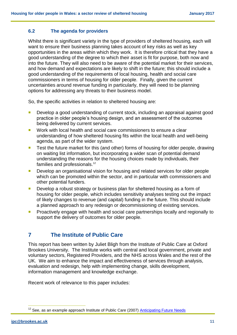#### **6.2 The agenda for providers**

Whilst there is significant variety in the type of providers of sheltered housing, each will want to ensure their business planning takes account of key risks as well as key opportunities in the areas within which they work. It is therefore critical that they have a good understanding of the degree to which their asset is fit for purpose, both now and into the future. They will also need to be aware of the potential market for their services, and how demand and expectations are likely to shift in the future; this should include a good understanding of the requirements of local housing, health and social care commissioners in terms of housing for older people. Finally, given the current uncertainties around revenue funding in particularly, they will need to be planning options for addressing any threats to their business model.

So, the specific activities in relation to sheltered housing are:

- Develop a good understanding of current stock, including an appraisal against good practice in older people's housing design, and an assessment of the outcomes being delivered by current services.
- Work with local health and social care commissioners to ensure a clear understanding of how sheltered housing fits within the local health and well-being agenda, as part of the wider system.
- Test the future market for this (and other) forms of housing for older people, drawing on waiting list information, but incorporating a wider scan of potential demand understanding the reasons for the housing choices made by individuals, their families and professionals.<sup>12</sup>
- **Develop an organisational vision for housing and related services for older people** which can be promoted within the sector, and in particular with commissioners and other potential funders.
- **Develop a robust strategy or business plan for sheltered housing as a form of** housing for older people, which includes sensitivity analyses testing out the impact of likely changes to revenue (and capital) funding in the future. This should include a planned approach to any redesign or decommissioning of existing services.
- Proactively engage with health and social care partnerships locally and regionally to support the delivery of outcomes for older people.

## **7 The Institute of Public Care**

This report has been written by Juliet Bligh from the Institute of Public Care at Oxford Brookes University. The Institute works with central and local government, private and voluntary sectors, Registered Providers, and the NHS across Wales and the rest of the UK. We aim to enhance the impact and effectiveness of services through analysis, evaluation and redesign, help with implementing change, skills development, information management and knowledge exchange.

Recent work of relevance to this paper includes:

 $\overline{\phantom{a}}$ <sup>12</sup> See, as an example approach Institute of Public Care (2007) **Anticipating Future Needs**